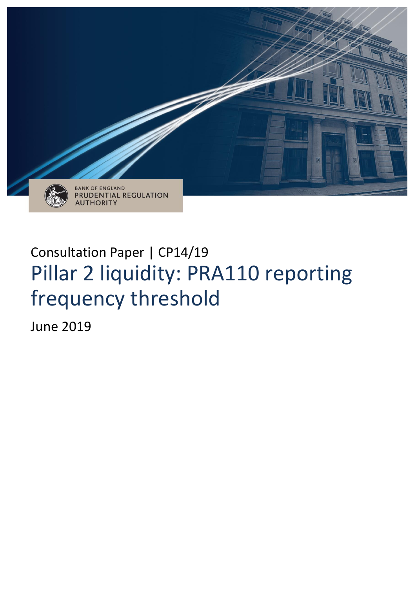

# Consultation Paper | CP14/19 Pillar 2 liquidity: PRA110 reporting frequency threshold

June 2019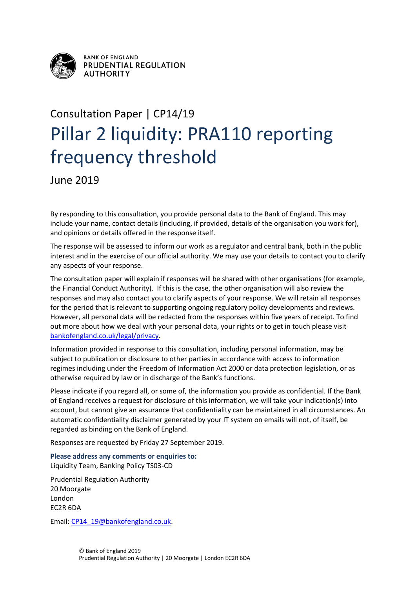

**BANK OF ENGLAND** PRUDENTIAL REGULATION **AUTHORITY** 

# Consultation Paper | CP14/19 Pillar 2 liquidity: PRA110 reporting frequency threshold

June 2019

By responding to this consultation, you provide personal data to the Bank of England. This may include your name, contact details (including, if provided, details of the organisation you work for), and opinions or details offered in the response itself.

The response will be assessed to inform our work as a regulator and central bank, both in the public interest and in the exercise of our official authority. We may use your details to contact you to clarify any aspects of your response.

The consultation paper will explain if responses will be shared with other organisations (for example, the Financial Conduct Authority). If this is the case, the other organisation will also review the responses and may also contact you to clarify aspects of your response. We will retain all responses for the period that is relevant to supporting ongoing regulatory policy developments and reviews. However, all personal data will be redacted from the responses within five years of receipt. To find out more about how we deal with your personal data, your rights or to get in touch please visit [bankofengland.co.uk/legal/privacy.](http://www.bankofengland.co.uk/legal/privacy)

Information provided in response to this consultation, including personal information, may be subject to publication or disclosure to other parties in accordance with access to information regimes including under the Freedom of Information Act 2000 or data protection legislation, or as otherwise required by law or in discharge of the Bank's functions.

Please indicate if you regard all, or some of, the information you provide as confidential. If the Bank of England receives a request for disclosure of this information, we will take your indication(s) into account, but cannot give an assurance that confidentiality can be maintained in all circumstances. An automatic confidentiality disclaimer generated by your IT system on emails will not, of itself, be regarded as binding on the Bank of England.

Responses are requested by Friday 27 September 2019.

**Please address any comments or enquiries to:** Liquidity Team, Banking Policy TS03-CD

Prudential Regulation Authority 20 Moorgate London EC2R 6DA

Email: [CP14\\_19@bankofengland.co.uk.](mailto:CP14_19@bankofengland.co.uk)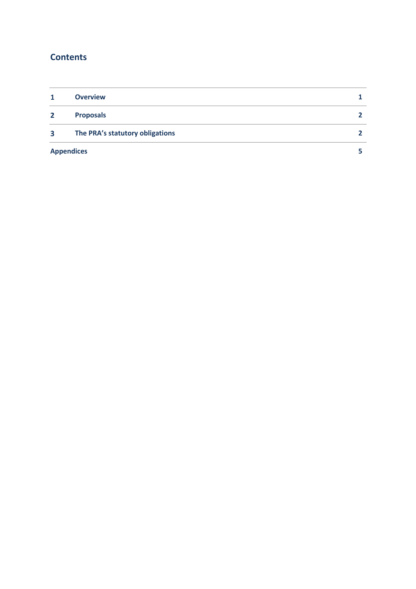# **Contents**

|              | <b>Overview</b>                 |  |
|--------------|---------------------------------|--|
| $\mathbf{2}$ | <b>Proposals</b>                |  |
| 3            | The PRA's statutory obligations |  |
|              | <b>Appendices</b>               |  |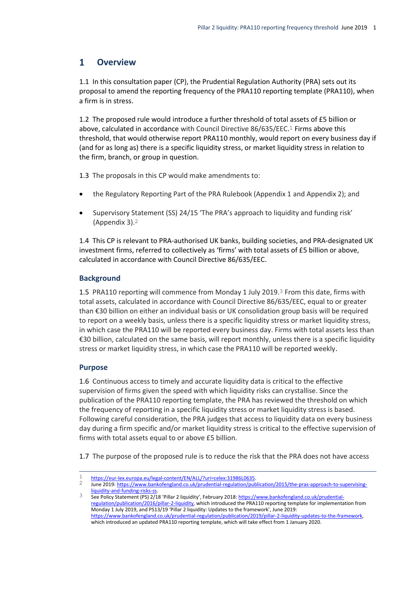#### <span id="page-3-0"></span> $\mathbf{1}$ **Overview**

1.1 In this consultation paper (CP), the Prudential Regulation Authority (PRA) sets out its proposal to amend the reporting frequency of the PRA110 reporting template (PRA110), when a firm is in stress.

1.2 The proposed rule would introduce a further threshold of total assets of £5 billion or above, calculated in accordance with Council Directive 86/635/EEC.1 Firms above this threshold, that would otherwise report PRA110 monthly, would report on every business day if (and for as long as) there is a specific liquidity stress, or market liquidity stress in relation to the firm, branch, or group in question.

1.3 The proposals in this CP would make amendments to:

- the Regulatory Reporting Part of the PRA Rulebook (Appendix 1 and Appendix 2); and
- Supervisory Statement (SS) 24/15 'The PRA's approach to liquidity and funding risk' (Appendix 3).2

1.4 This CP is relevant to PRA-authorised UK banks, building societies, and PRA-designated UK investment firms, referred to collectively as 'firms' with total assets of £5 billion or above, calculated in accordance with Council Directive 86/635/EEC.

## **Background**

1.5 PRA110 reporting will commence from Monday 1 July 2019.3 From this date, firms with total assets, calculated in accordance with Council Directive 86/635/EEC, equal to or greater than €30 billion on either an individual basis or UK consolidation group basis will be required to report on a weekly basis, unless there is a specific liquidity stress or market liquidity stress, in which case the PRA110 will be reported every business day. Firms with total assets less than €30 billion, calculated on the same basis, will report monthly, unless there is a specific liquidity stress or market liquidity stress, in which case the PRA110 will be reported weekly.

## **Purpose**

1.6 Continuous access to timely and accurate liquidity data is critical to the effective supervision of firms given the speed with which liquidity risks can crystallise. Since the publication of the PRA110 reporting template, the PRA has reviewed the threshold on which the frequency of reporting in a specific liquidity stress or market liquidity stress is based. Following careful consideration, the PRA judges that access to liquidity data on every business day during a firm specific and/or market liquidity stress is critical to the effective supervision of firms with total assets equal to or above £5 billion.

1.7 The purpose of the proposed rule is to reduce the risk that the PRA does not have access

 $\overline{a}$ 1 [https://eur-lex.europa.eu/legal-content/EN/ALL/?uri=celex:31986L0635.](https://eur-lex.europa.eu/legal-content/EN/ALL/?uri=celex:31986L0635)<br>2 https://www.backgraphed.co.uk/erudential.com/ation/put

June 2019[: https://www.bankofengland.co.uk/prudential-regulation/publication/2015/the-pras-approach-to-supervising](https://www.bankofengland.co.uk/prudential-regulation/publication/2015/the-pras-approach-to-supervising-liquidity-and-funding-risks-ss)[liquidity-and-funding-risks-ss.](https://www.bankofengland.co.uk/prudential-regulation/publication/2015/the-pras-approach-to-supervising-liquidity-and-funding-risks-ss)

<sup>3</sup> See Policy Statement (PS) 2/18 'Pillar 2 liquidity', February 2018[: https://www.bankofengland.co.uk/prudential](https://www.bankofengland.co.uk/prudential-regulation/publication/2016/pillar-2-liquidity)[regulation/publication/2016/pillar-2-liquidity,](https://www.bankofengland.co.uk/prudential-regulation/publication/2016/pillar-2-liquidity) which introduced the PRA110 reporting template for implementation from Monday 1 July 2019, and PS13/19 'Pillar 2 liquidity: Updates to the framework', June 2019: [https://www.bankofengland.co.uk/prudential-regulation/publication/2019/pillar-2-liquidity-updates-to-the-framework,](https://www.bankofengland.co.uk/prudential-regulation/publication/2019/pillar-2-liquidity-updates-to-the-framework)  which introduced an updated PRA110 reporting template, which will take effect from 1 January 2020.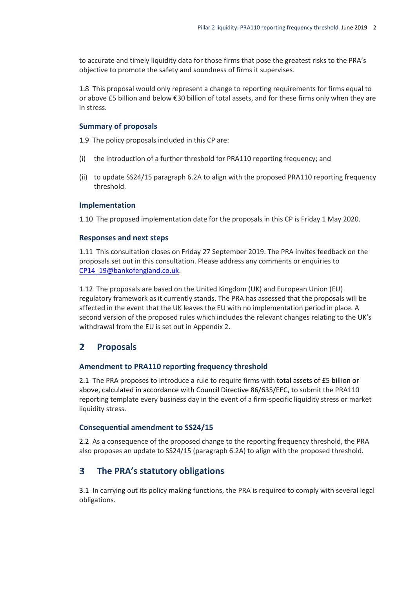to accurate and timely liquidity data for those firms that pose the greatest risks to the PRA's objective to promote the safety and soundness of firms it supervises.

1.8 This proposal would only represent a change to reporting requirements for firms equal to or above £5 billion and below €30 billion of total assets, and for these firms only when they are in stress.

#### **Summary of proposals**

1.9 The policy proposals included in this CP are:

- (i) the introduction of a further threshold for PRA110 reporting frequency; and
- (ii) to update SS24/15 paragraph 6.2A to align with the proposed PRA110 reporting frequency threshold.

#### **Implementation**

1.10 The proposed implementation date for the proposals in this CP is Friday 1 May 2020.

#### **Responses and next steps**

1.11 This consultation closes on Friday 27 September 2019. The PRA invites feedback on the proposals set out in this consultation. Please address any comments or enquiries to [CP14\\_19@bankofengland.co.uk.](mailto:CP14_19@bankofengland.co.uk)

1.12 The proposals are based on the United Kingdom (UK) and European Union (EU) regulatory framework as it currently stands. The PRA has assessed that the proposals will be affected in the event that the UK leaves the EU with no implementation period in place. A second version of the proposed rules which includes the relevant changes relating to the UK's withdrawal from the EU is set out in Appendix 2.

#### <span id="page-4-0"></span> $\mathbf{2}$ **Proposals**

#### **Amendment to PRA110 reporting frequency threshold**

2.1 The PRA proposes to introduce a rule to require firms with total assets of £5 billion or above, calculated in accordance with Council Directive 86/635/EEC, to submit the PRA110 reporting template every business day in the event of a firm-specific liquidity stress or market liquidity stress.

#### **Consequential amendment to SS24/15**

2.2 As a consequence of the proposed change to the reporting frequency threshold, the PRA also proposes an update to SS24/15 (paragraph 6.2A) to align with the proposed threshold.

#### <span id="page-4-1"></span> $\mathbf{3}$ **The PRA's statutory obligations**

3.1 In carrying out its policy making functions, the PRA is required to comply with several legal obligations.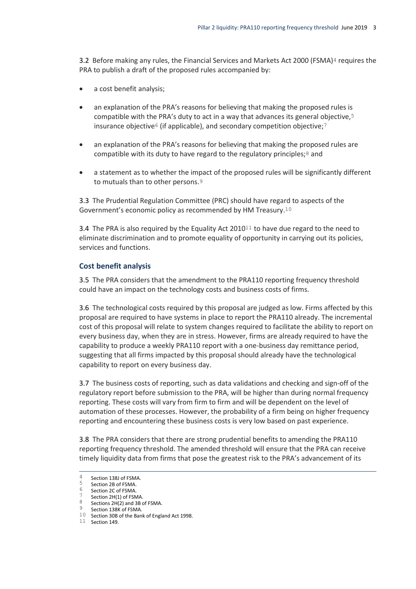3.2 Before making any rules, the Financial Services and Markets Act 2000 (FSMA)<sup>4</sup> requires the PRA to publish a draft of the proposed rules accompanied by:

- a cost benefit analysis;
- an explanation of the PRA's reasons for believing that making the proposed rules is compatible with the PRA's duty to act in a way that advances its general objective,5 insurance objective<sup>6</sup> (if applicable), and secondary competition objective;<sup>7</sup>
- an explanation of the PRA's reasons for believing that making the proposed rules are compatible with its duty to have regard to the regulatory principles;8 and
- a statement as to whether the impact of the proposed rules will be significantly different to mutuals than to other persons.9

3.3 The Prudential Regulation Committee (PRC) should have regard to aspects of the Government's economic policy as recommended by HM Treasury.10

3.4 The PRA is also required by the Equality Act  $2010^{11}$  to have due regard to the need to eliminate discrimination and to promote equality of opportunity in carrying out its policies, services and functions.

### **Cost benefit analysis**

3.5 The PRA considers that the amendment to the PRA110 reporting frequency threshold could have an impact on the technology costs and business costs of firms.

3.6 The technological costs required by this proposal are judged as low. Firms affected by this proposal are required to have systems in place to report the PRA110 already. The incremental cost of this proposal will relate to system changes required to facilitate the ability to report on every business day, when they are in stress. However, firms are already required to have the capability to produce a weekly PRA110 report with a one-business day remittance period, suggesting that all firms impacted by this proposal should already have the technological capability to report on every business day.

3.7 The business costs of reporting, such as data validations and checking and sign-off of the regulatory report before submission to the PRA, will be higher than during normal frequency reporting. These costs will vary from firm to firm and will be dependent on the level of automation of these processes. However, the probability of a firm being on higher frequency reporting and encountering these business costs is very low based on past experience.

3.8 The PRA considers that there are strong prudential benefits to amending the PRA110 reporting frequency threshold. The amended threshold will ensure that the PRA can receive timely liquidity data from firms that pose the greatest risk to the PRA's advancement of its

 $\overline{4}$  $\frac{4}{5}$  Section 138J of FSMA.

 $5$  Section 2B of FSMA.<br>6 Section 2G of ESMA

Section 2C of FSMA.

 $\frac{7}{8}$  Section 2H(1) of FSMA.

Sections 2H(2) and 3B of FSMA.

Section 138K of FSMA. 10 Section 30B of the Bank of England Act 1998.

<sup>11</sup> Section 149.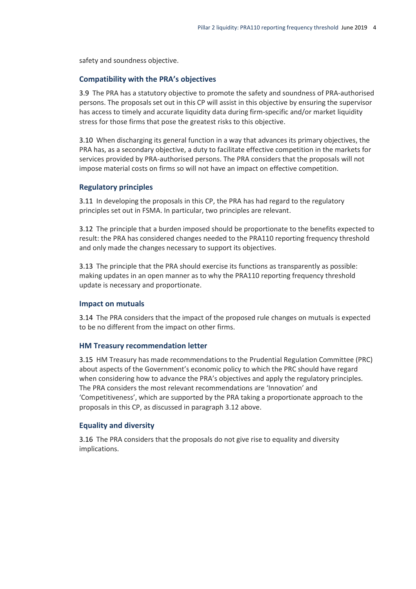safety and soundness objective.

#### **Compatibility with the PRA's objectives**

3.9 The PRA has a statutory objective to promote the safety and soundness of PRA-authorised persons. The proposals set out in this CP will assist in this objective by ensuring the supervisor has access to timely and accurate liquidity data during firm-specific and/or market liquidity stress for those firms that pose the greatest risks to this objective.

3.10 When discharging its general function in a way that advances its primary objectives, the PRA has, as a secondary objective, a duty to facilitate effective competition in the markets for services provided by PRA-authorised persons. The PRA considers that the proposals will not impose material costs on firms so will not have an impact on effective competition.

#### **Regulatory principles**

3.11 In developing the proposals in this CP, the PRA has had regard to the regulatory principles set out in FSMA. In particular, two principles are relevant.

3.12 The principle that a burden imposed should be proportionate to the benefits expected to result: the PRA has considered changes needed to the PRA110 reporting frequency threshold and only made the changes necessary to support its objectives.

3.13 The principle that the PRA should exercise its functions as transparently as possible: making updates in an open manner as to why the PRA110 reporting frequency threshold update is necessary and proportionate.

#### **Impact on mutuals**

3.14 The PRA considers that the impact of the proposed rule changes on mutuals is expected to be no different from the impact on other firms.

#### **HM Treasury recommendation letter**

3.15 HM Treasury has made recommendations to the Prudential Regulation Committee (PRC) about aspects of the Government's economic policy to which the PRC should have regard when considering how to advance the PRA's objectives and apply the regulatory principles. The PRA considers the most relevant recommendations are 'Innovation' and 'Competitiveness', which are supported by the PRA taking a proportionate approach to the proposals in this CP, as discussed in paragraph 3.12 above.

#### **Equality and diversity**

3.16 The PRA considers that the proposals do not give rise to equality and diversity implications.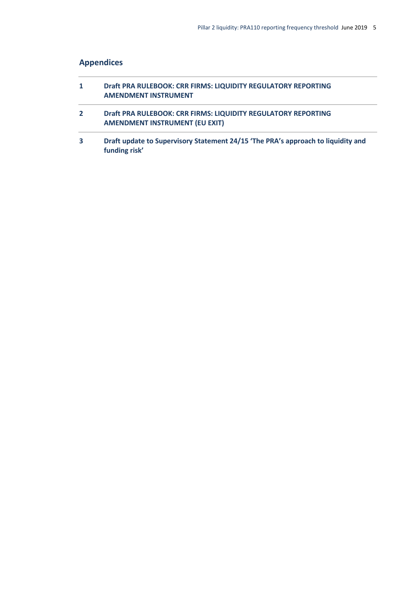# <span id="page-7-0"></span>**Appendices**

| 1            | Draft PRA RULEBOOK: CRR FIRMS: LIQUIDITY REGULATORY REPORTING<br><b>AMENDMENT INSTRUMENT</b>           |
|--------------|--------------------------------------------------------------------------------------------------------|
| $\mathbf{2}$ | Draft PRA RULEBOOK: CRR FIRMS: LIQUIDITY REGULATORY REPORTING<br><b>AMENDMENT INSTRUMENT (EU EXIT)</b> |
| 3            | Draft update to Supervisory Statement 24/15 'The PRA's approach to liquidity and<br>funding risk'      |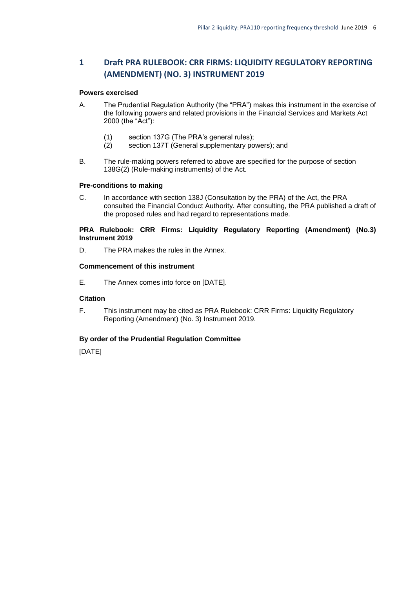## <span id="page-8-0"></span>**1 Draft PRA RULEBOOK: CRR FIRMS: LIQUIDITY REGULATORY REPORTING (AMENDMENT) (NO. 3) INSTRUMENT 2019**

#### **Powers exercised**

- A. The Prudential Regulation Authority (the "PRA") makes this instrument in the exercise of the following powers and related provisions in the Financial Services and Markets Act 2000 (the "Act"):
	- (1) section 137G (The PRA's general rules);
	- (2) section 137T (General supplementary powers); and
- B. The rule-making powers referred to above are specified for the purpose of section 138G(2) (Rule-making instruments) of the Act.

#### **Pre-conditions to making**

C. In accordance with section 138J (Consultation by the PRA) of the Act, the PRA consulted the Financial Conduct Authority. After consulting, the PRA published a draft of the proposed rules and had regard to representations made.

#### **PRA Rulebook: CRR Firms: Liquidity Regulatory Reporting (Amendment) (No.3) Instrument 2019**

D. The PRA makes the rules in the Annex.

#### **Commencement of this instrument**

E. The Annex comes into force on [DATE].

#### **Citation**

F. This instrument may be cited as PRA Rulebook: CRR Firms: Liquidity Regulatory Reporting (Amendment) (No. 3) Instrument 2019.

#### **By order of the Prudential Regulation Committee**

[DATE]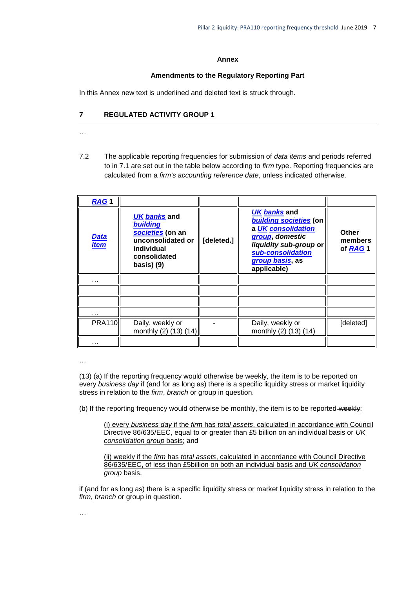#### **Annex**

#### **Amendments to the Regulatory Reporting Part**

In this Annex new text is underlined and deleted text is struck through.

#### **7 REGULATED ACTIVITY GROUP 1**

- …
- 7.2 The applicable reporting frequencies for submission of *data items* and periods referred to in 7.1 are set out in the table below according to *firm* type. Reporting frequencies are calculated from a *firm's accounting reference date*, unless indicated otherwise.

| RAG <sub>1</sub>           |                                                                                                                              |            |                                                                                                                                                                  |                                     |
|----------------------------|------------------------------------------------------------------------------------------------------------------------------|------------|------------------------------------------------------------------------------------------------------------------------------------------------------------------|-------------------------------------|
| <u>Data</u><br><u>item</u> | <b>UK banks and</b><br><b>building</b><br>societies (on an<br>unconsolidated or<br>individual<br>consolidated<br>basis $(9)$ | [deleted.] | UK banks and<br>building societies (on<br>a UK consolidation<br>group, domestic<br>liquidity sub-group or<br>sub-consolidation<br>group basis, as<br>applicable) | <b>Other</b><br>members<br>of RAG 1 |
| .                          |                                                                                                                              |            |                                                                                                                                                                  |                                     |
|                            |                                                                                                                              |            |                                                                                                                                                                  |                                     |
|                            |                                                                                                                              |            |                                                                                                                                                                  |                                     |
| .                          |                                                                                                                              |            |                                                                                                                                                                  |                                     |
| <b>PRA110</b>              | Daily, weekly or<br>monthly (2) (13) (14)                                                                                    |            | Daily, weekly or<br>monthly (2) (13) (14)                                                                                                                        | [deleted]                           |
| .                          |                                                                                                                              |            |                                                                                                                                                                  |                                     |

…

(13) (a) If the reporting frequency would otherwise be weekly, the item is to be reported on every *business day* if (and for as long as) there is a specific liquidity stress or market liquidity stress in relation to the *firm*, *branch* or group in question.

(b) If the reporting frequency would otherwise be monthly, the item is to be reported-weekly:

(i) every *business day* if the *firm* has *total assets*, calculated in accordance with Council Directive 86/635/EEC, equal to or greater than £5 billion on an individual basis or *UK consolidation group* basis; and

(ii) weekly if the *firm* has *total assets*, calculated in accordance with Council Directive 86/635/EEC, of less than £5billion on both an individual basis and *UK consolidation group* basis,

if (and for as long as) there is a specific liquidity stress or market liquidity stress in relation to the *firm*, *branch* or group in question.

…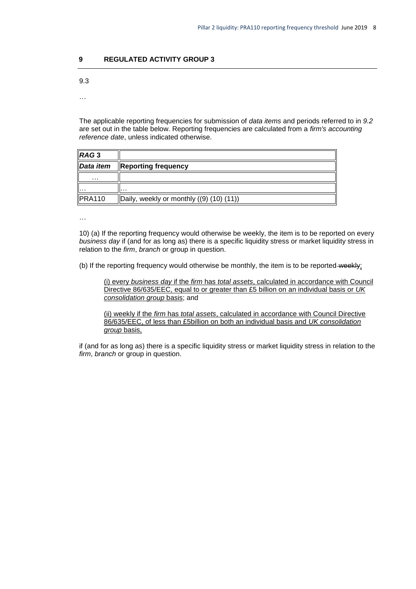#### **9 REGULATED ACTIVITY GROUP 3**

9.3

…

The applicable reporting frequencies for submission of *data items* and periods referred to in *9.2* are set out in the table below. Reporting frequencies are calculated from a *firm's accounting reference date*, unless indicated otherwise.

| RAG <sub>3</sub> |                                                   |
|------------------|---------------------------------------------------|
| Data item        | <b>Reporting frequency</b>                        |
| $\cdots$         |                                                   |
| . <b>.</b>       | .                                                 |
| PRA110           | $\vert$ Daily, weekly or monthly $(9)$ (10) (11)) |

…

10) (a) If the reporting frequency would otherwise be weekly, the item is to be reported on every *business day* if (and for as long as) there is a specific liquidity stress or market liquidity stress in relation to the *firm*, *branch* or group in question.

(b) If the reporting frequency would otherwise be monthly, the item is to be reported-weekly:

(i) every *business day* if the *firm* has *total assets*, calculated in accordance with Council Directive 86/635/EEC, equal to or greater than £5 billion on an individual basis or *UK consolidation group* basis; and

<span id="page-10-0"></span>(ii) weekly if the *firm* has *total assets*, calculated in accordance with Council Directive 86/635/EEC, of less than £5billion on both an individual basis and *UK consolidation group* basis,

if (and for as long as) there is a specific liquidity stress or market liquidity stress in relation to the *firm*, *branch* or group in question.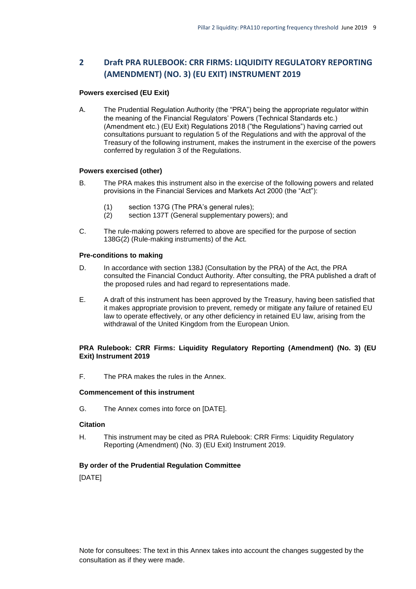## **2 Draft PRA RULEBOOK: CRR FIRMS: LIQUIDITY REGULATORY REPORTING (AMENDMENT) (NO. 3) (EU EXIT) INSTRUMENT 2019**

#### **Powers exercised (EU Exit)**

A. The Prudential Regulation Authority (the "PRA") being the appropriate regulator within the meaning of the Financial Regulators' Powers (Technical Standards etc.) (Amendment etc.) (EU Exit) Regulations 2018 ("the Regulations") having carried out consultations pursuant to regulation 5 of the Regulations and with the approval of the Treasury of the following instrument, makes the instrument in the exercise of the powers conferred by regulation 3 of the Regulations.

#### **Powers exercised (other)**

- B. The PRA makes this instrument also in the exercise of the following powers and related provisions in the Financial Services and Markets Act 2000 (the "Act"):
	- (1) section 137G (The PRA's general rules);
	- (2) section 137T (General supplementary powers); and
- C. The rule-making powers referred to above are specified for the purpose of section 138G(2) (Rule-making instruments) of the Act.

#### **Pre-conditions to making**

- D. In accordance with section 138J (Consultation by the PRA) of the Act, the PRA consulted the Financial Conduct Authority. After consulting, the PRA published a draft of the proposed rules and had regard to representations made.
- E. A draft of this instrument has been approved by the Treasury, having been satisfied that it makes appropriate provision to prevent, remedy or mitigate any failure of retained EU law to operate effectively, or any other deficiency in retained EU law, arising from the withdrawal of the United Kingdom from the European Union.

### **PRA Rulebook: CRR Firms: Liquidity Regulatory Reporting (Amendment) (No. 3) (EU Exit) Instrument 2019**

F. The PRA makes the rules in the Annex.

#### **Commencement of this instrument**

G. The Annex comes into force on [DATE].

#### **Citation**

H. This instrument may be cited as PRA Rulebook: CRR Firms: Liquidity Regulatory Reporting (Amendment) (No. 3) (EU Exit) Instrument 2019.

#### **By order of the Prudential Regulation Committee**

[DATE]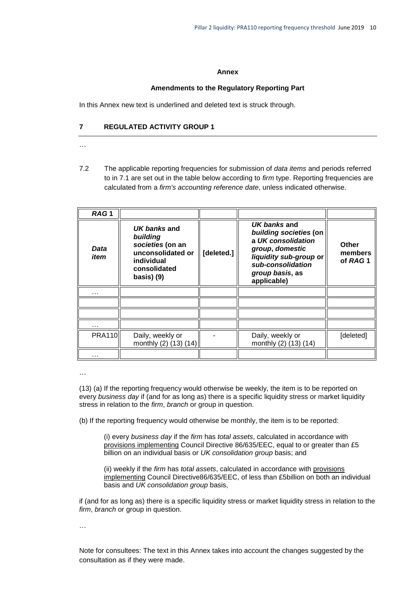#### **Annex**

#### **Amendments to the Regulatory Reporting Part**

In this Annex new text is underlined and deleted text is struck through.

### **7 REGULATED ACTIVITY GROUP 1**

- …
- 7.2 The applicable reporting frequencies for submission of *data items* and periods referred to in 7.1 are set out in the table below according to *firm* type. Reporting frequencies are calculated from a *firm's accounting reference date*, unless indicated otherwise.

| RAG <sub>1</sub> |                                                                                                                |            |                                                                                                                                                                  |                                    |
|------------------|----------------------------------------------------------------------------------------------------------------|------------|------------------------------------------------------------------------------------------------------------------------------------------------------------------|------------------------------------|
| Data<br>item     | UK banks and<br>building<br>societies (on an<br>unconsolidated or<br>individual<br>consolidated<br>basis $(9)$ | [deleted.] | UK banks and<br>building societies (on<br>a UK consolidation<br>group, domestic<br>liquidity sub-group or<br>sub-consolidation<br>group basis, as<br>applicable) | <b>Other</b><br>members<br>of RAG1 |
| .                |                                                                                                                |            |                                                                                                                                                                  |                                    |
|                  |                                                                                                                |            |                                                                                                                                                                  |                                    |
|                  |                                                                                                                |            |                                                                                                                                                                  |                                    |
| .                |                                                                                                                |            |                                                                                                                                                                  |                                    |
| <b>PRA110</b>    | Daily, weekly or<br>monthly (2) (13) (14)                                                                      |            | Daily, weekly or<br>monthly (2) (13) (14)                                                                                                                        | [deleted]                          |
|                  |                                                                                                                |            |                                                                                                                                                                  |                                    |

…

(13) (a) If the reporting frequency would otherwise be weekly, the item is to be reported on every *business day* if (and for as long as) there is a specific liquidity stress or market liquidity stress in relation to the *firm*, *branch* or group in question.

(b) If the reporting frequency would otherwise be monthly, the item is to be reported:

(i) every *business day* if the *firm* has *total assets*, calculated in accordance with provisions implementing Council Directive 86/635/EEC, equal to or greater than £5 billion on an individual basis or *UK consolidation group* basis; and

(ii) weekly if the *firm* has *total assets*, calculated in accordance with provisions implementing Council Directive86/635/EEC, of less than £5billion on both an individual basis and *UK consolidation group* basis,

if (and for as long as) there is a specific liquidity stress or market liquidity stress in relation to the *firm*, *branch* or group in question.

…

Note for consultees: The text in this Annex takes into account the changes suggested by the consultation as if they were made.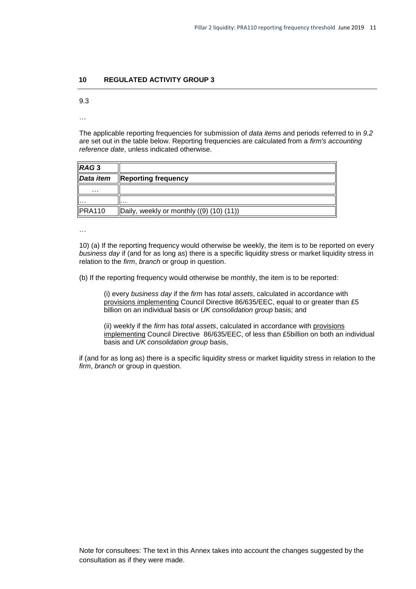#### **10 REGULATED ACTIVITY GROUP 3**

9.3

…

The applicable reporting frequencies for submission of *data items* and periods referred to in *9.2* are set out in the table below. Reporting frequencies are calculated from a *firm's accounting reference date*, unless indicated otherwise.

| RAG <sub>3</sub> |                                                   |
|------------------|---------------------------------------------------|
| Data item        | <b>Reporting frequency</b>                        |
| $\cdots$         |                                                   |
| ı.               | .                                                 |
| <b>PRA110</b>    | $\vert$ Daily, weekly or monthly $(9)$ (10) (11)) |

…

10) (a) If the reporting frequency would otherwise be weekly, the item is to be reported on every *business day* if (and for as long as) there is a specific liquidity stress or market liquidity stress in relation to the *firm*, *branch* or group in question.

(b) If the reporting frequency would otherwise be monthly, the item is to be reported:

(i) every *business day* if the *firm* has *total assets*, calculated in accordance with provisions implementing Council Directive 86/635/EEC, equal to or greater than £5 billion on an individual basis or *UK consolidation group* basis; and

(ii) weekly if the *firm* has *total assets*, calculated in accordance with provisions implementing Council Directive 86/635/EEC, of less than £5billion on both an individual basis and *UK consolidation group* basis,

<span id="page-13-0"></span>if (and for as long as) there is a specific liquidity stress or market liquidity stress in relation to the *firm*, *branch* or group in question.